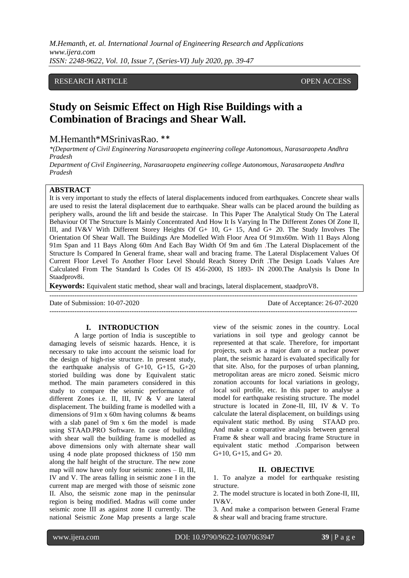# RESEARCH ARTICLE **CONSERVERS** OPEN ACCESS

# **Study on Seismic Effect on High Rise Buildings with a Combination of Bracings and Shear Wall.**

# M.Hemanth\*MSrinivasRao. \*\*

*\*(Department of Civil Engineering Narasaraopeta engineering college Autonomous, Narasaraopeta Andhra Pradesh*

*Department of Civil Engineering, Narasaraopeta engineering college Autonomous, Narasaraopeta Andhra Pradesh*

# **ABSTRACT**

It is very important to study the effects of lateral displacements induced from earthquakes. Concrete shear walls are used to resist the lateral displacement due to earthquake. Shear walls can be placed around the building as periphery walls, around the lift and beside the staircase. In This Paper The Analytical Study On The Lateral Behaviour Of The Structure Is Mainly Concentrated And How It Is Varying In The Different Zones Of Zone II, III, and IV&V With Different Storey Heights Of G+ 10, G+ 15, And G+ 20. The Study Involves The Orientation Of Shear Wall. The Buildings Are Modelled With Floor Area Of 91mx60m. With 11 Bays Along 91m Span and 11 Bays Along 60m And Each Bay Width Of 9m and 6m .The Lateral Displacement of the Structure Is Compared In General frame, shear wall and bracing frame. The Lateral Displacement Values Of Current Floor Level To Another Floor Level Should Reach Storey Drift .The Design Loads Values Are Calculated From The Standard Is Codes Of IS 456-2000, IS 1893- IN 2000.The Analysis Is Done In Staadprov8i.

**Keywords:** Equivalent static method, shear wall and bracings, lateral displacement, staadproV8.

---------------------------------------------------------------------------------------------------------------------------------------

Date of Submission: 10-07-2020 Date of Acceptance: 26-07-2020

# **I. INTRODUCTION**

A large portion of India is susceptible to damaging levels of seismic hazards. Hence, it is necessary to take into account the seismic load for the design of high-rise structure. In present study, the earthquake analysis of  $G+10$ ,  $G+15$ ,  $G+20$ storied building was done by Equivalent static method. The main parameters considered in this study to compare the seismic performance of different Zones i.e. II, III, IV & V are lateral displacement. The building frame is modelled with a dimensions of 91m x 60m having columns & beams with a slab panel of 9m x 6m the model is made using STAAD.PRO Software. In case of building with shear wall the building frame is modelled as above dimensions only with alternate shear wall using 4 node plate proposed thickness of 150 mm along the half height of the structure. The new zone map will now have only four seismic zones – II, III, IV and V. The areas falling in seismic zone I in the current map are merged with those of seismic zone II. Also, the seismic zone map in the peninsular region is being modified. Madras will come under seismic zone III as against zone II currently. The national Seismic Zone Map presents a large scale

view of the seismic zones in the country. Local variations in soil type and geology cannot be represented at that scale. Therefore, for important projects, such as a major dam or a nuclear power plant, the seismic hazard is evaluated specifically for that site. Also, for the purposes of urban planning, metropolitan areas are micro zoned. Seismic micro zonation accounts for local variations in geology, local soil profile, etc. In this paper to analyse a model for earthquake resisting structure. The model structure is located in Zone-II, III, IV & V. To calculate the lateral displacement, on buildings using equivalent static method. By using STAAD pro. And make a comparative analysis between general Frame & shear wall and bracing frame Structure in equivalent static method .Comparison between G+10, G+15, and G+ 20.

---------------------------------------------------------------------------------------------------------------------------------------

# **II. OBJECTIVE**

1. To analyze a model for earthquake resisting structure.

2. The model structure is located in both Zone-II, III, IV&V.

3. And make a comparison between General Frame & shear wall and bracing frame structure.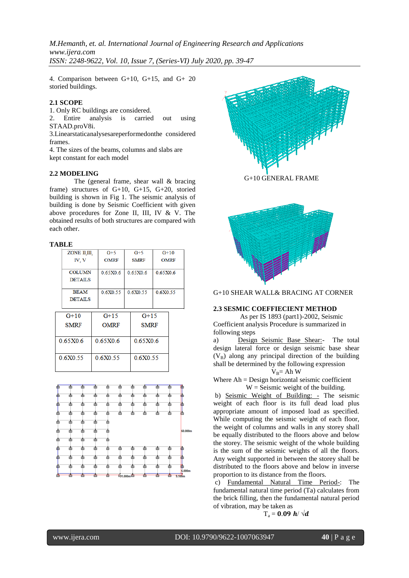4. Comparison between G+10, G+15, and G+ 20 storied buildings.

# **2.1 SCOPE**

1. Only RC buildings are considered.

2. Entire analysis is carried out using STAAD.proV8i.

3.Linearstaticanalysesareperformedonthe considered frames.

4. The sizes of the beams, columns and slabs are kept constant for each model

#### **2.2 MODELING**

The (general frame, shear wall & bracing frame) structures of G+10, G+15, G+20, storied building is shown in Fig 1. The seismic analysis of building is done by Seismic Coefficient with given above procedures for Zone II, III, IV & V. The obtained results of both structures are compared with each other.

#### **TABLE**

|          | ZONE II.III.   |  | $G+5$       | $G+5$       |          | $G+10$      |  |
|----------|----------------|--|-------------|-------------|----------|-------------|--|
|          | IV. V          |  | <b>OMRF</b> | <b>SMRF</b> |          | <b>OMRF</b> |  |
|          |                |  |             |             |          |             |  |
|          | <b>COLUMN</b>  |  | 0.65X0.6    |             | 0.65X0.6 | 0.65X0.6    |  |
|          | <b>DETAILS</b> |  |             |             |          |             |  |
|          |                |  |             |             |          |             |  |
|          | <b>BEAM</b>    |  | 06X055      |             | 06X055   | 06X055      |  |
|          | <b>DETAILS</b> |  |             |             |          |             |  |
|          |                |  |             |             |          |             |  |
|          | $G+10$         |  | $G+15$      |             | $G+15$   |             |  |
|          |                |  |             |             |          |             |  |
|          | <b>SMRF</b>    |  | <b>OMRF</b> | <b>SMRF</b> |          |             |  |
|          |                |  |             |             |          |             |  |
| 0.65X0.6 |                |  | 0.65X0.6    |             | 0.65X0.6 |             |  |
|          |                |  |             |             |          |             |  |
|          |                |  |             |             |          |             |  |
| 0.6X0.55 |                |  | 0.6X0.55    |             | 0.6X0.55 |             |  |
|          |                |  |             |             |          |             |  |
|          |                |  |             |             |          |             |  |





G+10 GENERAL FRAME



G+10 SHEAR WALL& BRACING AT CORNER

#### **2.3 SESMIC COEFFIECIENT METHOD**

 As per IS 1893 (part1)-2002, Seismic Coefficient analysis Procedure is summarized in following steps

a) Design Seismic Base Shear:- The total design lateral force or design seismic base shear  $(V_B)$  along any principal direction of the building shall be determined by the following expression

$$
V_B\!\!=A h\;W
$$

Where Ah = Design horizontal seismic coefficient  $W =$  Seismic weight of the building.

b) Seismic Weight of Building: - The seismic weight of each floor is its full dead load plus appropriate amount of imposed load as specified. While computing the seismic weight of each floor, the weight of columns and walls in any storey shall be equally distributed to the floors above and below the storey. The seismic weight of the whole building is the sum of the seismic weights of all the floors. Any weight supported in between the storey shall be distributed to the floors above and below in inverse proportion to its distance from the floors.

c) Fundamental Natural Time Period-: The fundamental natural time period (Ta) calculates from the brick filling, then the fundamental natural period of vibration, may be taken as

$$
T_a = 0.09 \ h/\sqrt{d}
$$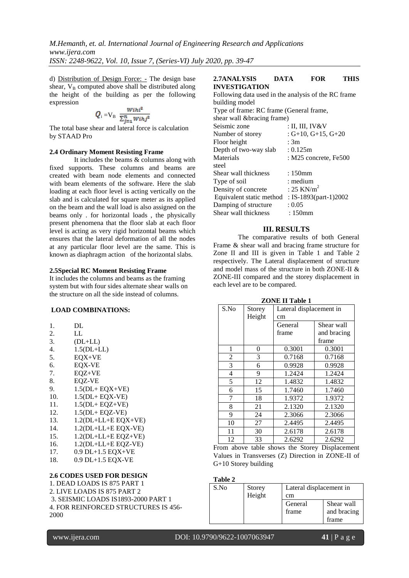d) Distribution of Design Force: - The design base shear,  $V_B$  computed above shall be distributed along the height of the building as per the following expression

$$
Q_i = V_B \frac{W_i h_i^2}{\sum_{j=1}^n W_i h_j^2}
$$

The total base shear and lateral force is calculation by STAAD Pro

#### **2.4 Ordinary Moment Resisting Frame**

It includes the beams & columns along with fixed supports. These columns and beams are created with beam node elements and connected with beam elements of the software. Here the slab loading at each floor level is acting vertically on the slab and is calculated for square meter as its applied on the beam and the wall load is also assigned on the beams only . for horizontal loads , the physically present phenomena that the floor slab at each floor level is acting as very rigid horizontal beams which ensures that the lateral deformation of all the nodes at any particular floor level are the same. This is known as diaphragm action of the horizontal slabs.

# **2.5Special RC Moment Resisting Frame**

It includes the columns and beams as the framing system but with four sides alternate shear walls on the structure on all the side instead of columns.

# **LOAD COMBINATIONS:**

- 1. DL
- 2. LL
- 3. (DL+LL)<br>4. 1.5(DL+L
- 4. 1.5(DL+LL)
- 5. EQX+VE
- 6. EQX-VE
- 7. EQZ+VE
- 8. EQZ-VE
- 9. 1.5(DL+ EQX+VE)
- 10. 1.5(DL+ EQX-VE)
- 11. 1.5(DL+ EQZ+VE)
- 12. 1.5(DL+ EQZ-VE)
- 13. 1.2(DL+LL+E EQX+VE)
- 14. 1.2(DL+LL+E EQX-VE)
- 15. 1.2(DL+LL+E EQZ+VE)
- 16. 1.2(DL+LL+E EQZ-VE)
- 17. 0.9 DL+1.5 EQX+VE
- 18. 0.9 DL+1.5 EQX-VE

# **2.6 CODES USED FOR DESIGN**

1. DEAD LOADS IS 875 PART 1 2. LIVE LOADS IS 875 PART 2 3. SEISMIC LOADS IS1893-2000 PART 1 4. FOR REINFORCED STRUCTURES IS 456- 2000

#### **2.7ANALYSIS DATA FOR THIS INVESTIGATION**

| Following data used in the analysis of the RC frame |                         |
|-----------------------------------------------------|-------------------------|
| building model                                      |                         |
| Type of frame: RC frame (General frame,             |                         |
| shear wall & bracing frame)                         |                         |
| Seismic zone                                        | : II, III, IV&V         |
| Number of storey                                    | $: G+10, G+15, G+20$    |
| Floor height                                        | : 3m                    |
| Depth of two-way slab                               | : 0.125m                |
| Materials                                           | : M25 concrete, $Fe500$ |
| steel                                               |                         |
| Shear wall thickness                                | $:150$ mm               |
| Type of soil                                        | : medium                |
| Density of concrete                                 | : 25 KN/ $m2$           |
| Equivalent static method                            | : IS-1893(part-1)2002   |
| Damping of structure                                | : 0.05                  |
| Shear wall thickness                                | : 150mm                 |
|                                                     |                         |

# **III. RESULTS**

The comparative results of both General Frame & shear wall and bracing frame structure for Zone II and III is given in Table 1 and Table 2 respectively. The Lateral displacement of structure and model mass of the structure in both ZONE-II & ZONE-III compared and the storey displacement in each level are to be compared.

| S.No | Storey | Lateral displacement in |             |  |
|------|--------|-------------------------|-------------|--|
|      | Height | cm                      |             |  |
|      |        | General                 | Shear wall  |  |
|      |        | frame                   | and bracing |  |
|      |        |                         | frame       |  |
| 1    | 0      | 0.3001                  | 0.3001      |  |
| 2    | 3      | 0.7168                  | 0.7168      |  |
| 3    | 6      | 0.9928                  | 0.9928      |  |
| 4    | 9      | 1.2424                  | 1.2424      |  |
| 5    | 12     | 1.4832                  | 1.4832      |  |
| 6    | 15     | 1.7460                  | 1.7460      |  |
| 7    | 18     | 1.9372                  | 1.9372      |  |
| 8    | 21     | 2.1320                  | 2.1320      |  |
| 9    | 24     | 2.3066                  | 2.3066      |  |
| 10   | 27     | 2.4495                  | 2.4495      |  |
| 11   | 30     | 2.6178                  | 2.6178      |  |
| 12   | 33     | 2.6292                  | 2.6292      |  |

**ZONE II Table 1**

From above table shows the Storey Displacement Values in Transverses (Z) Direction in ZONE-II of G+10 Storey building

#### **Table 2**

| S.No | Storey<br>Height | Lateral displacement in<br>cm |                                    |
|------|------------------|-------------------------------|------------------------------------|
|      |                  | General<br>frame              | Shear wall<br>and bracing<br>frame |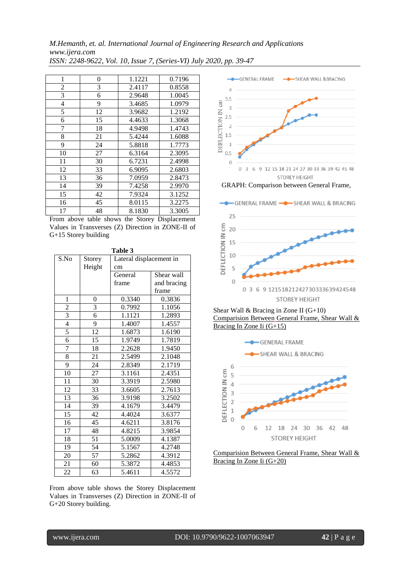*M.Hemanth, et. al. International Journal of Engineering Research and Applications www.ijera.com ISSN: 2248-9622, Vol. 10, Issue 7, (Series-VI) July 2020, pp. 39-47*

| 1              | 0  | 1.1221 | 0.7196 |
|----------------|----|--------|--------|
| $\overline{2}$ | 3  | 2.4117 | 0.8558 |
| 3              | 6  | 2.9648 | 1.0045 |
| $\overline{4}$ | 9  | 3.4685 | 1.0979 |
| 5              | 12 | 3.9682 | 1.2192 |
| 6              | 15 | 4.4633 | 1.3068 |
| 7              | 18 | 4.9498 | 1.4743 |
| 8              | 21 | 5.4244 | 1.6088 |
| 9              | 24 | 5.8818 | 1.7773 |
| 10             | 27 | 6.3164 | 2.3095 |
| 11             | 30 | 6.7231 | 2.4998 |
| 12             | 33 | 6.9095 | 2.6803 |
| 13             | 36 | 7.0959 | 2.8473 |
| 14             | 39 | 7.4258 | 2.9970 |
| 15             | 42 | 7.9324 | 3.1252 |
| 16             | 45 | 8.0115 | 3.2275 |
| 17             | 48 | 8.1830 | 3.3005 |

From above table shows the Storey Displacement Values in Transverses (Z) Direction in ZONE-II of G+15 Storey building

| Table 3         |                 |                         |             |  |  |
|-----------------|-----------------|-------------------------|-------------|--|--|
| S.No            | Storey          | Lateral displacement in |             |  |  |
|                 | Height          | cm                      |             |  |  |
|                 |                 | General                 | Shear wall  |  |  |
|                 |                 | frame                   | and bracing |  |  |
|                 |                 |                         | frame       |  |  |
| $\mathbf{1}$    | 0               | 0.3340                  | 0.3836      |  |  |
| $\overline{c}$  | 3               | 0.7992                  | 1.1056      |  |  |
| $\overline{3}$  | 6               | 1.1121                  | 1.2893      |  |  |
| $\overline{4}$  | 9               | 1.4007                  | 1.4557      |  |  |
| $\overline{5}$  | 12              | 1.6873                  | 1.6190      |  |  |
| 6               | 15              | 1.9749                  | 1.7819      |  |  |
| 7               | 18              | 2.2628                  | 1.9450      |  |  |
| 8               | 21              | 2.5499                  | 2.1048      |  |  |
| 9               | 24              | 2.8349                  | 2.1719      |  |  |
| 10              | 27              | 3.1161                  | 2.4351      |  |  |
| 11              | 30              | 3.3919                  | 2.5980      |  |  |
| 12              | 33              | 3.6605                  | 2.7613      |  |  |
| 13              | 36              | 3.9198                  | 3.2502      |  |  |
| 14              | 39              | 4.1679                  | 3.4479      |  |  |
| $\overline{15}$ | 42              | 4.4024                  | 3.6377      |  |  |
| 16              | 45              | 4.6211                  | 3.8176      |  |  |
| 17              | 48              | 4.8215                  | 3.9854      |  |  |
| 18              | 51              | 5.0009                  | 4.1387      |  |  |
| 19              | 54              | 5.1567                  | 4.2748      |  |  |
| 20              | $\overline{57}$ | 5.2862                  | 4.3912      |  |  |
| 21              | 60              | 5.3872                  | 4.4853      |  |  |
| 22              | 63              | 5.4611                  | 4.5572      |  |  |

From above table shows the Storey Displacement Values in Transverses (Z) Direction in ZONE-II of G+20 Storey building.



GRAPH: Comparison between General Frame,

GENERAL FRAME - SHEAR WALL & BRACING



Shear Wall & Bracing in Zone II (G+10) Comparision Between General Frame, Shear Wall & Bracing In Zone Ii (G+15)



Comparision Between General Frame, Shear Wall & Bracing In Zone Ii (G+20)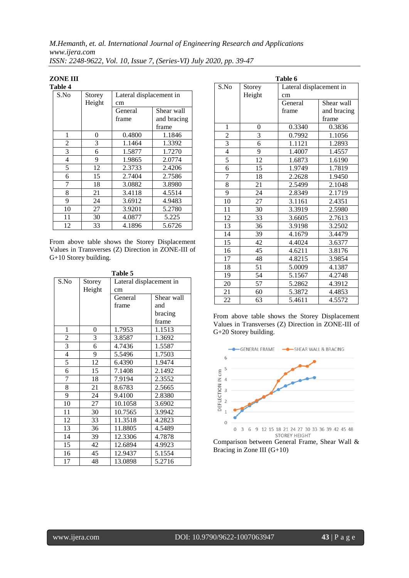#### **ZONE III Table 4**

| 1 анс т |        |                         |             |  |  |
|---------|--------|-------------------------|-------------|--|--|
| S.No    | Storey | Lateral displacement in |             |  |  |
|         | Height | cm                      |             |  |  |
|         |        | General                 | Shear wall  |  |  |
|         |        | frame                   | and bracing |  |  |
|         |        |                         | frame       |  |  |
| 1       | 0      | 0.4800                  | 1.1846      |  |  |
| 2       | 3      | 1.1464                  | 1.3392      |  |  |
| 3       | 6      | 1.5877                  | 1.7270      |  |  |
| 4       | 9      | 1.9865                  | 2.0774      |  |  |
| 5       | 12     | 2.3733                  | 2.4206      |  |  |
| 6       | 15     | 2.7404                  | 2.7586      |  |  |
| 7       | 18     | 3.0882                  | 3.8980      |  |  |
| 8       | 21     | 3.4118                  | 4.5514      |  |  |
| 9       | 24     | 3.6912                  | 4.9483      |  |  |
| 10      | 27     | 3.9201                  | 5.2780      |  |  |
| 11      | 30     | 4.0877                  | 5.225       |  |  |
| 12      | 33     | 4.1896                  | 5.6726      |  |  |

From above table shows the Storey Displacement Values in Transverses (Z) Direction in ZONE-III of G+10 Storey building.

| Table 5        |        |                         |            |  |
|----------------|--------|-------------------------|------------|--|
| S.No           | Storey | Lateral displacement in |            |  |
|                | Height | cm                      |            |  |
|                |        | General                 | Shear wall |  |
|                |        | frame                   | and        |  |
|                |        |                         | bracing    |  |
|                |        |                         | frame      |  |
| $\mathbf{1}$   | 0      | 1.7953                  | 1.1513     |  |
| $\overline{c}$ | 3      | 3.8587                  | 1.3692     |  |
| $\overline{3}$ | 6      | 4.7436                  | 1.5587     |  |
| $\overline{4}$ | 9      | 5.5496                  | 1.7503     |  |
| 5              | 12     | 6.4390                  | 1.9474     |  |
| 6              | 15     | 7.1408                  | 2.1492     |  |
| 7              | 18     | 7.9194                  | 2.3552     |  |
| 8              | 21     | 8.6783                  | 2.5665     |  |
| 9              | 24     | 9.4100                  | 2.8380     |  |
| 10             | 27     | 10.1058                 | 3.6902     |  |
| 11             | 30     | 10.7565                 | 3.9942     |  |
| 12             | 33     | 11.3518                 | 4.2823     |  |
| 13             | 36     | 11.8805                 | 4.5489     |  |
| 14             | 39     | 12.3306                 | 4.7878     |  |
| 15             | 42     | 12.6894                 | 4.9923     |  |
| 16             | 45     | 12.9437                 | 5.1554     |  |
| 17             | 48     | 13.0898                 | 5.2716     |  |

| Table 6        |                 |                         |             |  |
|----------------|-----------------|-------------------------|-------------|--|
| S.No           | Storey          | Lateral displacement in |             |  |
|                | Height          | cm                      |             |  |
|                |                 | General                 | Shear wall  |  |
|                |                 | frame                   | and bracing |  |
|                |                 |                         | frame       |  |
| $\mathbf{1}$   | 0               | 0.3340                  | 0.3836      |  |
| $\overline{2}$ | 3               | 0.7992                  | 1.1056      |  |
| $\overline{3}$ | 6               | 1.1121                  | 1.2893      |  |
| $\overline{4}$ | 9               | 1.4007                  | 1.4557      |  |
| $\overline{5}$ | $\overline{12}$ | 1.6873                  | 1.6190      |  |
| 6              | 15              | 1.9749                  | 1.7819      |  |
| 7              | 18              | 2.2628                  | 1.9450      |  |
| 8              | 21              | 2.5499                  | 2.1048      |  |
| 9              | 24              | 2.8349                  | 2.1719      |  |
| 10             | 27              | 3.1161                  | 2.4351      |  |
| 11             | 30              | 3.3919                  | 2.5980      |  |
| 12             | 33              | 3.6605                  | 2.7613      |  |
| 13             | 36              | 3.9198                  | 3.2502      |  |
| 14             | 39              | 4.1679                  | 3.4479      |  |
| 15             | 42              | 4.4024                  | 3.6377      |  |
| 16             | 45              | 4.6211                  | 3.8176      |  |
| 17             | 48              | 4.8215                  | 3.9854      |  |
| 18             | 51              | 5.0009                  | 4.1387      |  |
| 19             | 54              | 5.1567                  | 4.2748      |  |
| 20             | 57              | 5.2862                  | 4.3912      |  |
| 21             | 60              | 5.3872                  | 4.4853      |  |
| 22             | 63              | 5.4611                  | 4.5572      |  |

From above table shows the Storey Displacement Values in Transverses (Z) Direction in ZONE-III of G+20 Storey building.



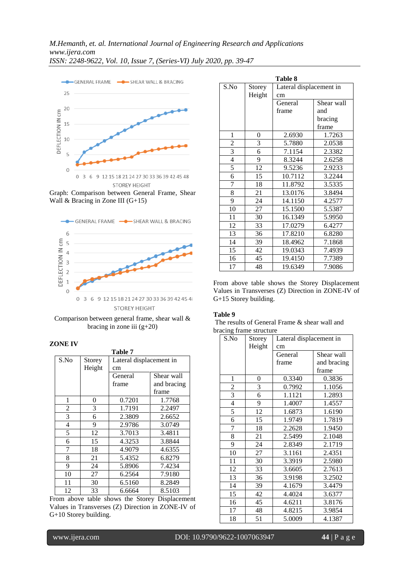

Graph: Comparison between General Frame, Shear Wall & Bracing in Zone III (G+15)



Comparison between general frame, shear wall & bracing in zone iii  $(g+20)$ 

# **ZONE IV**

| Table 7        |        |                         |             |  |
|----------------|--------|-------------------------|-------------|--|
| S.No           | Storey | Lateral displacement in |             |  |
|                | Height | cm                      |             |  |
|                |        | General                 | Shear wall  |  |
|                |        | frame                   | and bracing |  |
|                |        |                         | frame       |  |
| 1              | 0      | 0.7201                  | 1.7768      |  |
| $\overline{2}$ | 3      | 1.7191                  | 2.2497      |  |
| 3              | 6      | 2.3809                  | 2.6652      |  |
| 4              | 9      | 2.9786                  | 3.0749      |  |
| 5              | 12     | 3.7013                  | 3.4811      |  |
| 6              | 15     | 4.3253                  | 3.8844      |  |
| 7              | 18     | 4.9079                  | 4.6355      |  |
| 8              | 21     | 5.4352                  | 6.8279      |  |
| 9              | 24     | 5.8906                  | 7.4234      |  |
| 10             | 27     | 6.2564                  | 7.9180      |  |
| 11             | 30     | 6.5160                  | 8.2849      |  |
| 12             | 33     | 6.6664                  | 8.5103      |  |

From above table shows the Storey Displacement Values in Transverses (Z) Direction in ZONE-IV of G+10 Storey building.

| <b>Table 8</b>          |        |                         |            |  |
|-------------------------|--------|-------------------------|------------|--|
| S.No                    | Storey | Lateral displacement in |            |  |
|                         | Height | cm                      |            |  |
|                         |        | General                 | Shear wall |  |
|                         |        | frame                   | and        |  |
|                         |        |                         | bracing    |  |
|                         |        |                         | frame      |  |
| 1                       | 0      | 2.6930                  | 1.7263     |  |
| $\overline{\mathbf{c}}$ | 3      | 5.7880                  | 2.0538     |  |
| $\overline{3}$          | 6      | 7.1154                  | 2.3382     |  |
| $\overline{\mathbf{4}}$ | 9      | 8.3244                  | 2.6258     |  |
| 5                       | 12     | 9.5236                  | 2.9233     |  |
| 6                       | 15     | 10.7112                 | 3.2244     |  |
| $\overline{7}$          | 18     | 11.8792                 | 3.5335     |  |
| 8                       | 21     | 13.0176                 | 3.8494     |  |
| 9                       | 24     | 14.1150                 | 4.2577     |  |
| 10                      | 27     | 15.1500                 | 5.5387     |  |
| 11                      | 30     | 16.1349                 | 5.9950     |  |
| 12                      | 33     | 17.0279                 | 6.4277     |  |
| 13                      | 36     | 17.8210                 | 6.8280     |  |
| 14                      | 39     | 18.4962                 | 7.1868     |  |
| 15                      | 42     | 19.0343                 | 7.4939     |  |
| 16                      | 45     | 19.4150                 | 7.7389     |  |
| 17                      | 48     | 19.6349                 | 7.9086     |  |

From above table shows the Storey Displacement Values in Transverses (Z) Direction in ZONE-IV of G+15 Storey building.

### **Table 9**

The results of General Frame & shear wall and bracing frame structure

| S.No           | Storey | Lateral displacement in |             |  |
|----------------|--------|-------------------------|-------------|--|
|                | Height | cm                      |             |  |
|                |        | General                 | Shear wall  |  |
|                |        | frame                   | and bracing |  |
|                |        |                         | frame       |  |
| 1              | 0      | 0.3340                  | 0.3836      |  |
| $\overline{c}$ | 3      | 0.7992                  | 1.1056      |  |
| $\overline{3}$ | 6      | 1.1121                  | 1.2893      |  |
| $\overline{4}$ | 9      | 1.4007                  | 1.4557      |  |
| 5              | 12     | 1.6873                  | 1.6190      |  |
| 6              | 15     | 1.9749                  | 1.7819      |  |
| 7              | 18     | 2.2628                  | 1.9450      |  |
| 8              | 21     | 2.5499                  | 2.1048      |  |
| 9              | 24     | 2.8349                  | 2.1719      |  |
| 10             | 27     | 3.1161                  | 2.4351      |  |
| 11             | 30     | 3.3919                  | 2.5980      |  |
| 12             | 33     | 3.6605                  | 2.7613      |  |
| 13             | 36     | 3.9198                  | 3.2502      |  |
| 14             | 39     | 4.1679                  | 3.4479      |  |
| 15             | 42     | 4.4024                  | 3.6377      |  |
| 16             | 45     | 4.6211                  | 3.8176      |  |
| 17             | 48     | 4.8215                  | 3.9854      |  |
| 18             | 51     | 5.0009                  | 4.1387      |  |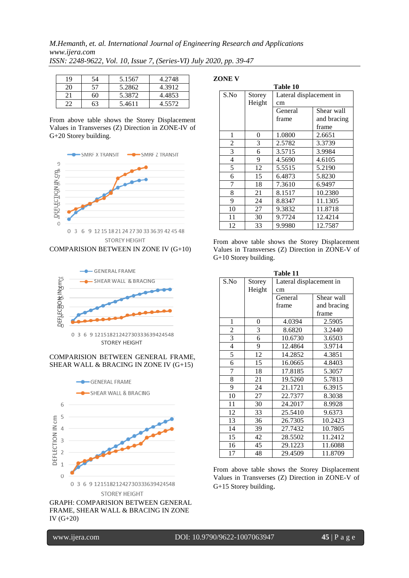| 19 | 54 | 5.1567 | 4.2748 |
|----|----|--------|--------|
| 20 | 57 | 5.2862 | 4.3912 |
| 21 | 60 | 5.3872 | 4.4853 |
| 22 | 63 | 5.4611 | 4.5572 |

From above table shows the Storey Displacement Values in Transverses (Z) Direction in ZONE-IV of G+20 Storey building.



COMPARISION BETWEEN IN ZONE IV (G+10)



#### COMPARISION BETWEEN GENERAL FRAME, SHEAR WALL & BRACING IN ZONE IV (G+15)



GRAPH: COMPARISION BETWEEN GENERAL FRAME, SHEAR WALL & BRACING IN ZONE IV (G+20)

**ZONE V**

| Table 10 |        |                         |             |  |  |
|----------|--------|-------------------------|-------------|--|--|
| S.No     | Storey | Lateral displacement in |             |  |  |
|          | Height | cm                      |             |  |  |
|          |        | General                 | Shear wall  |  |  |
|          |        | frame                   | and bracing |  |  |
|          |        |                         | frame       |  |  |
| 1        | 0      | 1.0800                  | 2.6651      |  |  |
| 2        | 3      | 2.5782                  | 3.3739      |  |  |
| 3        | 6      | 3.5715                  | 3.9984      |  |  |
| 4        | 9      | 4.5690                  | 4.6105      |  |  |
| 5        | 12     | 5.5515                  | 5.2190      |  |  |
| 6        | 15     | 6.4873                  | 5.8230      |  |  |
| 7        | 18     | 7.3610                  | 6.9497      |  |  |
| 8        | 21     | 8.1517                  | 10.2380     |  |  |
| 9        | 24     | 8.8347                  | 11.1305     |  |  |
| 10       | 27     | 9.3832                  | 11.8718     |  |  |
| 11       | 30     | 9.7724                  | 12.4214     |  |  |
| 12       | 33     | 9.9980                  | 12.7587     |  |  |

From above table shows the Storey Displacement Values in Transverses (Z) Direction in ZONE-V of G+10 Storey building.

| Table 11       |        |                         |             |  |  |
|----------------|--------|-------------------------|-------------|--|--|
| S.No           | Storey | Lateral displacement in |             |  |  |
|                | Height | cm                      |             |  |  |
|                |        | General                 | Shear wall  |  |  |
|                |        | frame                   | and bracing |  |  |
|                |        |                         | frame       |  |  |
| 1              | 0      | 4.0394                  | 2.5905      |  |  |
| $\overline{c}$ | 3      | 8.6820                  | 3.2440      |  |  |
| 3              | 6      | 10.6730                 | 3.6503      |  |  |
| 4              | 9      | 12.4864                 | 3.9714      |  |  |
| 5              | 12     | 14.2852                 | 4.3851      |  |  |
| 6              | 15     | 16.0665                 | 4.8403      |  |  |
| 7              | 18     | 17.8185                 | 5.3057      |  |  |
| 8              | 21     | 19.5260                 | 5.7813      |  |  |
| 9              | 24     | 21.1721                 | 6.3915      |  |  |
| 10             | 27     | 22.7377                 | 8.3038      |  |  |
| 11             | 30     | 24.2017                 | 8.9928      |  |  |
| 12             | 33     | 25.5410                 | 9.6373      |  |  |
| 13             | 36     | 26.7305                 | 10.2423     |  |  |
| 14             | 39     | 27.7432                 | 10.7805     |  |  |
| 15             | 42     | 28.5502                 | 11.2412     |  |  |
| 16             | 45     | 29.1223                 | 11.6088     |  |  |
| 17             | 48     | 29.4509                 | 11.8709     |  |  |

From above table shows the Storey Displacement Values in Transverses (Z) Direction in ZONE-V of G+15 Storey building.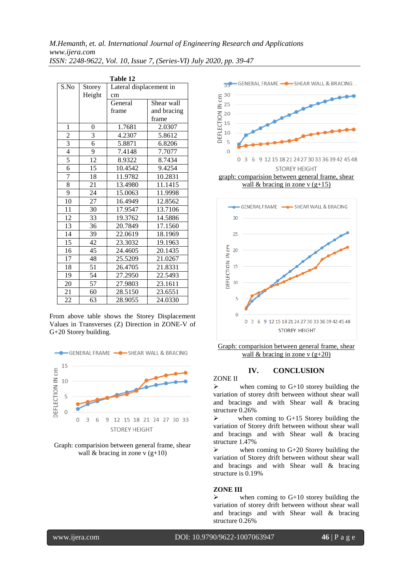| Table 12       |                |                         |             |  |  |
|----------------|----------------|-------------------------|-------------|--|--|
| S.No           | Storey         | Lateral displacement in |             |  |  |
|                | Height         | cm                      |             |  |  |
|                |                | General                 | Shear wall  |  |  |
|                |                | frame                   | and bracing |  |  |
|                |                |                         | frame       |  |  |
| 1              | $\overline{0}$ | 1.7681                  | 2.0307      |  |  |
| $\overline{2}$ | 3              | 4.2307                  | 5.8612      |  |  |
| $\overline{3}$ | 6              | 5.8871                  | 6.8206      |  |  |
| $\overline{4}$ | 9              | 7.4148                  | 7.7077      |  |  |
| 5              | 12             | 8.9322                  | 8.7434      |  |  |
| $\overline{6}$ | 15             | 10.4542                 | 9.4254      |  |  |
| $\overline{7}$ | 18             | 11.9782                 | 10.2831     |  |  |
| 8              | 21             | 13.4980                 | 11.1415     |  |  |
| $\overline{9}$ | 24             | 15.0063                 | 11.9998     |  |  |
| 10             | 27             | 16.4949                 | 12.8562     |  |  |
| 11             | 30             | 17.9547                 | 13.7106     |  |  |
| 12             | 33             | 19.3762                 | 14.5886     |  |  |
| 13             | 36             | 20.7849                 | 17.1560     |  |  |
| 14             | 39             | 22.0619                 | 18.1969     |  |  |
| 15             | 42             | 23.3032                 | 19.1963     |  |  |
| 16             | 45             | 24.4605                 | 20.1435     |  |  |
| 17             | 48             | 25.5209                 | 21.0267     |  |  |
| 18             | 51             | 26.4705                 | 21.8331     |  |  |
| 19             | 54             | 27.2950                 | 22.5493     |  |  |
| 20             | 57             | 27.9803                 | 23.1611     |  |  |
| 21             | 60             | 28.5150                 | 23.6551     |  |  |
| 22             | 63             | 28.9055                 | 24.0330     |  |  |

From above table shows the Storey Displacement Values in Transverses (Z) Direction in ZONE-V of G+20 Storey building.



Graph: comparision between general frame, shear wall & bracing in zone  $v$  (g+10)



graph: comparision between general frame, shear wall & bracing in zone v  $(g+15)$ 



Graph: comparision between general frame, shear wall & bracing in zone v  $(g+20)$ 

# **IV. CONCLUSION**

ZONE II

 $\triangleright$  when coming to G+10 storey building the variation of storey drift between without shear wall and bracings and with Shear wall & bracing structure 0.26%

 $\triangleright$  when coming to G+15 Storey building the variation of Storey drift between without shear wall and bracings and with Shear wall & bracing structure 1.47%

 $\triangleright$  when coming to G+20 Storey building the variation of Storey drift between without shear wall and bracings and with Shear wall & bracing structure is 0.19%

#### **ZONE III**

 $\triangleright$  when coming to G+10 storey building the variation of storey drift between without shear wall and bracings and with Shear wall & bracing structure 0.26%